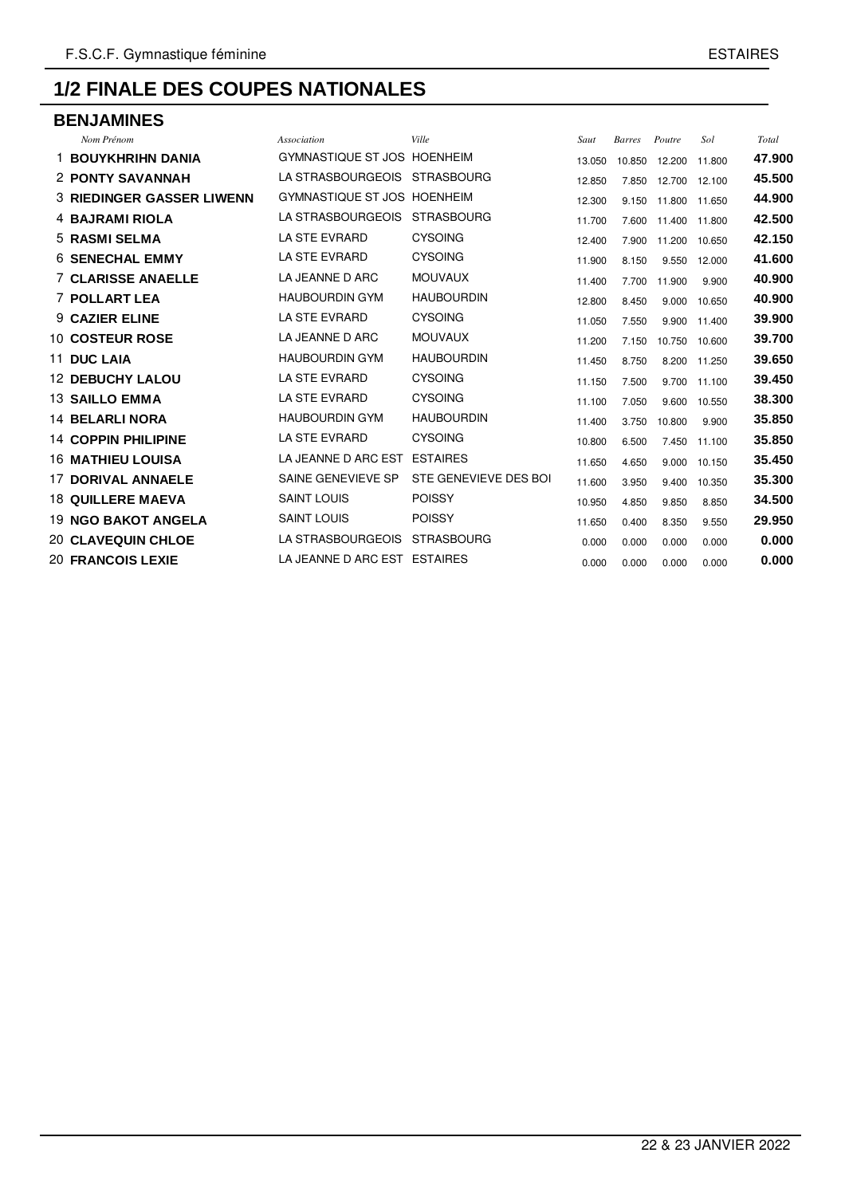#### **BENJAMINES**

| Nom Prénom                       | <b>Association</b>           | Ville                 | Saut   | <b>Barres</b> | Poutre        | Sol    | Total  |
|----------------------------------|------------------------------|-----------------------|--------|---------------|---------------|--------|--------|
| <b>1 BOUYKHRIHN DANIA</b>        | GYMNASTIQUE ST JOS HOENHEIM  |                       | 13.050 | 10.850        | 12.200        | 11.800 | 47.900 |
| 2 PONTY SAVANNAH                 | LA STRASBOURGEOIS            | <b>STRASBOURG</b>     | 12.850 | 7.850         | 12.700        | 12.100 | 45.500 |
| <b>3 RIEDINGER GASSER LIWENN</b> | GYMNASTIQUE ST JOS HOENHEIM  |                       | 12.300 | 9.150         | 11.800        | 11.650 | 44.900 |
| <b>4 BAJRAMI RIOLA</b>           | LA STRASBOURGEOIS            | <b>STRASBOURG</b>     | 11.700 | 7.600         | 11.400 11.800 |        | 42.500 |
| 5 RASMI SELMA                    | <b>LA STE EVRARD</b>         | <b>CYSOING</b>        | 12.400 | 7.900         | 11.200        | 10.650 | 42.150 |
| <b>6 SENECHAL EMMY</b>           | <b>LA STE EVRARD</b>         | <b>CYSOING</b>        | 11.900 | 8.150         | 9.550         | 12.000 | 41.600 |
| <b>7 CLARISSE ANAELLE</b>        | LA JEANNE D ARC              | <b>MOUVAUX</b>        | 11.400 | 7.700         | 11.900        | 9.900  | 40.900 |
| 7 POLLART LEA                    | <b>HAUBOURDIN GYM</b>        | <b>HAUBOURDIN</b>     | 12.800 | 8.450         | 9.000         | 10.650 | 40.900 |
| 9 CAZIER ELINE                   | <b>LA STE EVRARD</b>         | <b>CYSOING</b>        | 11.050 | 7.550         | 9.900         | 11.400 | 39,900 |
| <b>10 COSTEUR ROSE</b>           | LA JEANNE D ARC              | <b>MOUVAUX</b>        | 11.200 | 7.150         | 10.750        | 10.600 | 39.700 |
| 11 DUC LAIA                      | <b>HAUBOURDIN GYM</b>        | <b>HAUBOURDIN</b>     | 11.450 | 8.750         | 8.200 11.250  |        | 39.650 |
| <b>12 DEBUCHY LALOU</b>          | <b>LA STE EVRARD</b>         | <b>CYSOING</b>        | 11.150 | 7.500         | 9.700         | 11.100 | 39.450 |
| <b>13 SAILLO EMMA</b>            | <b>LA STE EVRARD</b>         | <b>CYSOING</b>        | 11.100 | 7.050         | 9.600         | 10.550 | 38.300 |
| <b>14 BELARLINORA</b>            | <b>HAUBOURDIN GYM</b>        | <b>HAUBOURDIN</b>     | 11.400 | 3.750         | 10.800        | 9.900  | 35.850 |
| <b>14 COPPIN PHILIPINE</b>       | <b>LA STE EVRARD</b>         | <b>CYSOING</b>        | 10.800 | 6.500         | 7.450         | 11.100 | 35.850 |
| <b>16 MATHIEU LOUISA</b>         | LA JEANNE D ARC EST          | <b>ESTAIRES</b>       | 11.650 | 4.650         | 9.000         | 10.150 | 35.450 |
| 17 DORIVAL ANNAELE               | SAINE GENEVIEVE SP           | STE GENEVIEVE DES BOI | 11.600 | 3.950         | 9.400         | 10.350 | 35.300 |
| <b>18 QUILLERE MAEVA</b>         | <b>SAINT LOUIS</b>           | <b>POISSY</b>         | 10.950 | 4.850         | 9.850         | 8.850  | 34.500 |
| <b>19 NGO BAKOT ANGELA</b>       | <b>SAINT LOUIS</b>           | <b>POISSY</b>         | 11.650 | 0.400         | 8.350         | 9.550  | 29.950 |
| <b>20 CLAVEQUIN CHLOE</b>        | LA STRASBOURGEOIS            | <b>STRASBOURG</b>     | 0.000  | 0.000         | 0.000         | 0.000  | 0.000  |
| <b>20 FRANCOIS LEXIE</b>         | LA JEANNE D ARC EST ESTAIRES |                       | 0.000  | 0.000         | 0.000         | 0.000  | 0.000  |
|                                  |                              |                       |        |               |               |        |        |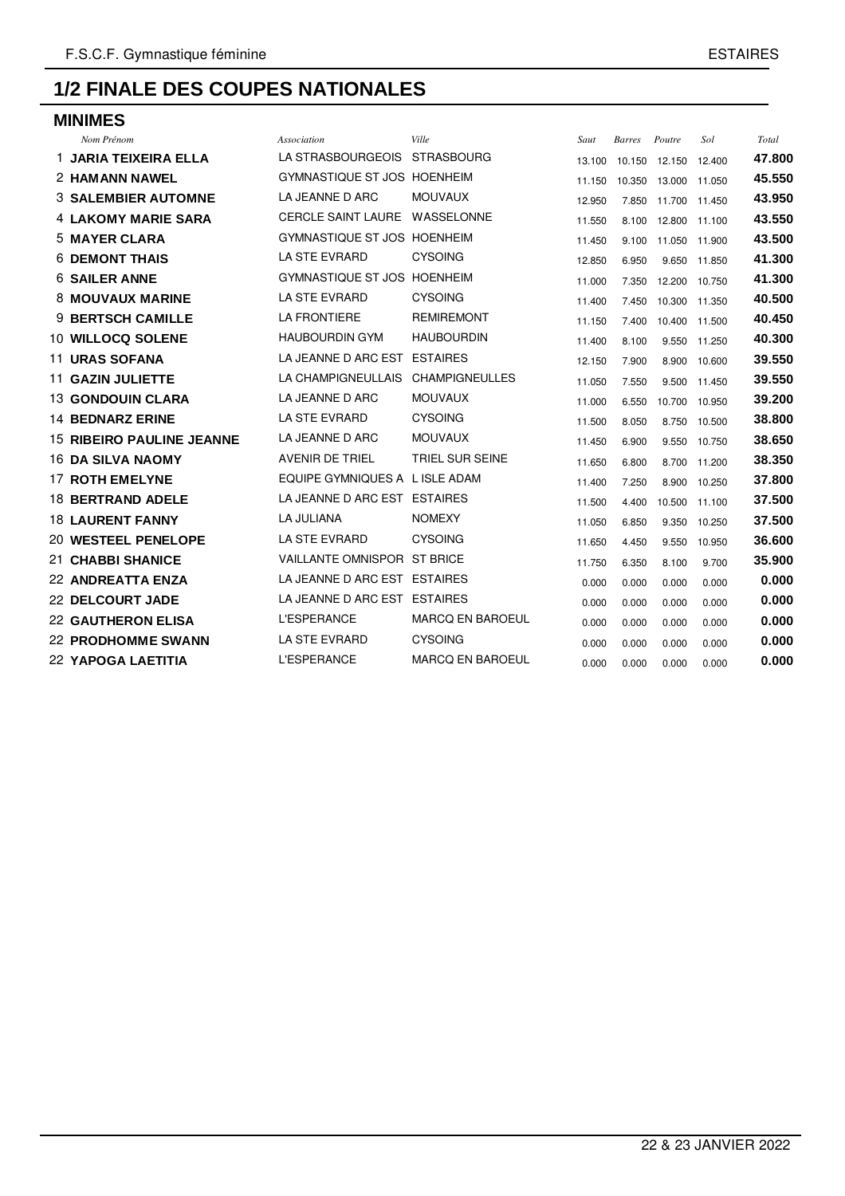| <b>MINIMES</b>                   |                                |                        |        |               |               |              |        |  |
|----------------------------------|--------------------------------|------------------------|--------|---------------|---------------|--------------|--------|--|
| Nom Prénom                       | Association                    | Ville                  | Saut   | <b>Barres</b> | Poutre        | Sol          | Total  |  |
| 1 JARIA TEIXEIRA ELLA            | LA STRASBOURGEOIS              | <b>STRASBOURG</b>      | 13.100 | 10.150        | 12.150        | 12.400       | 47.800 |  |
| 2 HAMANN NAWEL                   | GYMNASTIQUE ST JOS HOENHEIM    |                        | 11.150 | 10.350        | 13.000 11.050 |              | 45.550 |  |
| <b>3 SALEMBIER AUTOMNE</b>       | LA JEANNE D ARC                | <b>MOUVAUX</b>         | 12.950 | 7.850         | 11.700 11.450 |              | 43.950 |  |
| <b>4 LAKOMY MARIE SARA</b>       | <b>CERCLE SAINT LAURE</b>      | WASSELONNE             | 11.550 | 8.100         | 12.800 11.100 |              | 43.550 |  |
| <b>5 MAYER CLARA</b>             | GYMNASTIQUE ST JOS HOENHEIM    |                        | 11.450 | 9.100         | 11.050 11.900 |              | 43.500 |  |
| <b>6 DEMONT THAIS</b>            | LA STE EVRARD                  | <b>CYSOING</b>         | 12.850 | 6.950         | 9.650         | 11.850       | 41.300 |  |
| <b>6 SAILER ANNE</b>             | GYMNASTIQUE ST JOS             | <b>HOENHEIM</b>        | 11.000 | 7.350         | 12.200 10.750 |              | 41.300 |  |
| <b>8 MOUVAUX MARINE</b>          | <b>LA STE EVRARD</b>           | <b>CYSOING</b>         | 11.400 | 7.450         | 10.300 11.350 |              | 40.500 |  |
| 9 BERTSCH CAMILLE                | <b>LA FRONTIERE</b>            | <b>REMIREMONT</b>      | 11.150 | 7.400         | 10.400 11.500 |              | 40.450 |  |
| <b>10 WILLOCQ SOLENE</b>         | <b>HAUBOURDIN GYM</b>          | <b>HAUBOURDIN</b>      | 11.400 | 8.100         | 9.550         | 11.250       | 40.300 |  |
| <b>11 URAS SOFANA</b>            | LA JEANNE D ARC EST            | <b>ESTAIRES</b>        | 12.150 | 7.900         | 8.900         | 10.600       | 39.550 |  |
| <b>11 GAZIN JULIETTE</b>         | LA CHAMPIGNEULLAIS             | <b>CHAMPIGNEULLES</b>  | 11.050 | 7.550         | 9.500         | 11.450       | 39.550 |  |
| <b>13 GONDOUIN CLARA</b>         | LA JEANNE D ARC                | <b>MOUVAUX</b>         | 11.000 | 6.550         | 10.700        | 10.950       | 39.200 |  |
| 14 BEDNARZ ERINE                 | <b>LA STE EVRARD</b>           | <b>CYSOING</b>         | 11.500 | 8.050         | 8.750         | 10.500       | 38.800 |  |
| <b>15 RIBEIRO PAULINE JEANNE</b> | LA JEANNE D ARC                | <b>MOUVAUX</b>         | 11.450 | 6.900         | 9.550         | 10.750       | 38.650 |  |
| <b>16 DA SILVA NAOMY</b>         | <b>AVENIR DE TRIEL</b>         | <b>TRIEL SUR SEINE</b> | 11.650 | 6.800         | 8.700         | 11.200       | 38.350 |  |
| <b>17 ROTH EMELYNE</b>           | EQUIPE GYMNIQUES A L ISLE ADAM |                        | 11.400 | 7.250         | 8.900         | 10.250       | 37,800 |  |
| <b>18 BERTRAND ADELE</b>         | LA JEANNE D ARC EST ESTAIRES   |                        | 11.500 | 4.400         | 10.500        | 11.100       | 37.500 |  |
| <b>18 LAURENT FANNY</b>          | <b>LA JULIANA</b>              | <b>NOMEXY</b>          | 11.050 | 6.850         |               | 9.350 10.250 | 37.500 |  |
| <b>20 WESTEEL PENELOPE</b>       | LA STE EVRARD                  | <b>CYSOING</b>         | 11.650 | 4.450         | 9.550         | 10.950       | 36,600 |  |
| 21 CHABBI SHANICE                | <b>VAILLANTE OMNISPOR</b>      | ST BRICE               | 11.750 | 6.350         | 8.100         | 9.700        | 35.900 |  |
| 22 ANDREATTA ENZA                | LA JEANNE D ARC EST ESTAIRES   |                        | 0.000  | 0.000         | 0.000         | 0.000        | 0.000  |  |
| 22 DELCOURT JADE                 | LA JEANNE D ARC EST ESTAIRES   |                        | 0.000  | 0.000         | 0.000         | 0.000        | 0.000  |  |
| <b>22 GAUTHERON ELISA</b>        | <b>L'ESPERANCE</b>             | MARCQ EN BAROEUL       | 0.000  | 0.000         | 0.000         | 0.000        | 0.000  |  |
| <b>22 PRODHOMME SWANN</b>        | <b>LA STE EVRARD</b>           | <b>CYSOING</b>         | 0.000  | 0.000         | 0.000         | 0.000        | 0.000  |  |
| 22 YAPOGA LAETITIA               | <b>L'ESPERANCE</b>             | MARCQ EN BAROEUL       | 0.000  | 0.000         | 0.000         | 0.000        | 0.000  |  |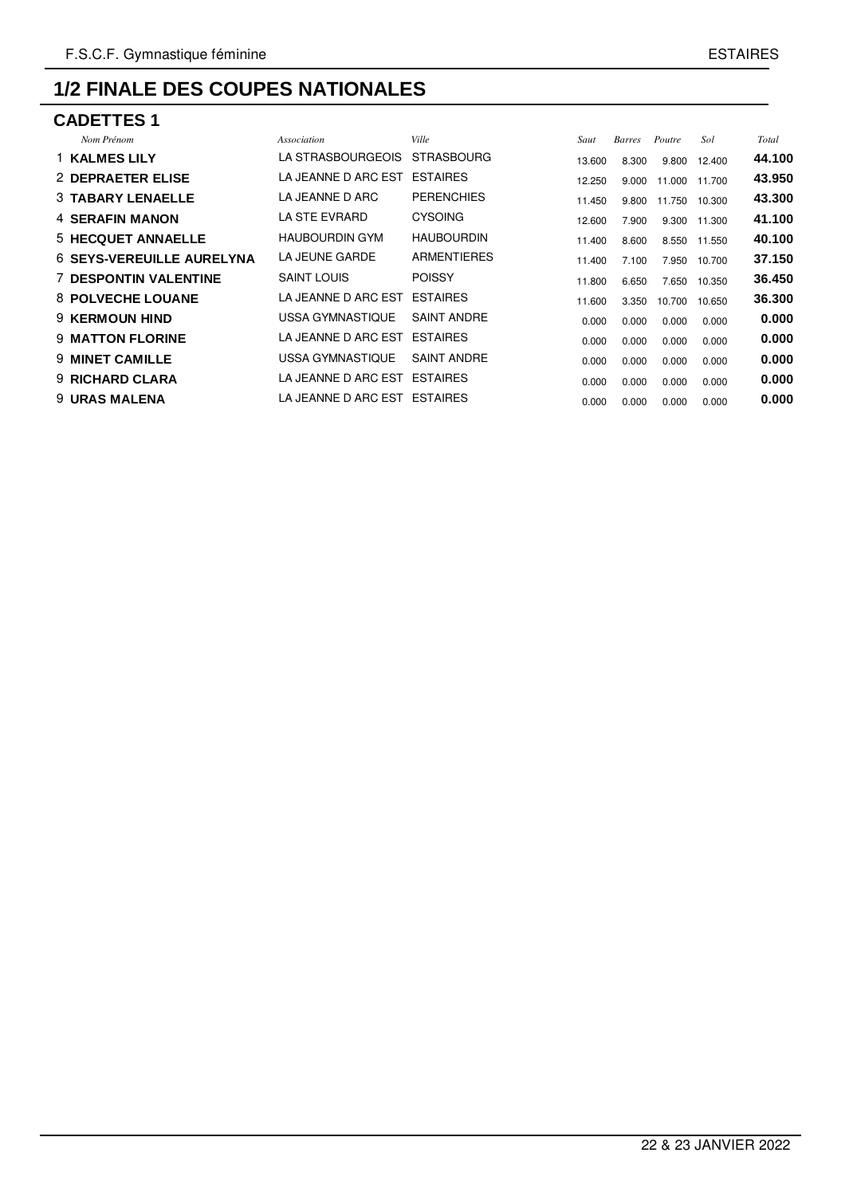| <b>CADETTES 1</b>                |                              |                    |        |               |        |        |        |  |  |  |  |  |
|----------------------------------|------------------------------|--------------------|--------|---------------|--------|--------|--------|--|--|--|--|--|
| Nom Prénom                       | Association                  | Ville              | Saut   | <b>Barres</b> | Poutre | Sol    | Total  |  |  |  |  |  |
| 1 KALMES LILY                    | LA STRASBOURGEOIS            | <b>STRASBOURG</b>  | 13.600 | 8.300         | 9.800  | 12.400 | 44.100 |  |  |  |  |  |
| 2 DEPRAETER ELISE                | LA JEANNE D ARC EST          | <b>ESTAIRES</b>    | 12.250 | 9.000         | 11.000 | 11.700 | 43.950 |  |  |  |  |  |
| <b>3 TABARY LENAELLE</b>         | LA JEANNE D ARC              | <b>PERENCHIES</b>  | 11.450 | 9.800         | 11.750 | 10.300 | 43.300 |  |  |  |  |  |
| <b>4 SERAFIN MANON</b>           | LA STE EVRARD                | <b>CYSOING</b>     | 12.600 | 7.900         | 9.300  | 11.300 | 41.100 |  |  |  |  |  |
| 5 HECQUET ANNAELLE               | <b>HAUBOURDIN GYM</b>        | <b>HAUBOURDIN</b>  | 11.400 | 8.600         | 8.550  | 11.550 | 40.100 |  |  |  |  |  |
| <b>6 SEYS-VEREUILLE AURELYNA</b> | LA JEUNE GARDE               | ARMENTIERES        | 11.400 | 7.100         | 7.950  | 10.700 | 37.150 |  |  |  |  |  |
| <b>7 DESPONTIN VALENTINE</b>     | <b>SAINT LOUIS</b>           | <b>POISSY</b>      | 11.800 | 6.650         | 7.650  | 10.350 | 36.450 |  |  |  |  |  |
| <b>8 POLVECHE LOUANE</b>         | LA JEANNE D ARC EST          | <b>ESTAIRES</b>    | 11.600 | 3.350         | 10.700 | 10.650 | 36,300 |  |  |  |  |  |
| <b>9 KERMOUN HIND</b>            | USSA GYMNASTIQUE             | <b>SAINT ANDRE</b> | 0.000  | 0.000         | 0.000  | 0.000  | 0.000  |  |  |  |  |  |
| <b>9 MATTON FLORINE</b>          | LA JEANNE D ARC EST          | <b>ESTAIRES</b>    | 0.000  | 0.000         | 0.000  | 0.000  | 0.000  |  |  |  |  |  |
| <b>9 MINET CAMILLE</b>           | USSA GYMNASTIQUE             | <b>SAINT ANDRE</b> | 0.000  | 0.000         | 0.000  | 0.000  | 0.000  |  |  |  |  |  |
| <b>9 RICHARD CLARA</b>           | LA JEANNE D ARC EST ESTAIRES |                    | 0.000  | 0.000         | 0.000  | 0.000  | 0.000  |  |  |  |  |  |
| <b>9 URAS MALENA</b>             | LA JEANNE D ARC EST ESTAIRES |                    | 0.000  | 0.000         | 0.000  | 0.000  | 0.000  |  |  |  |  |  |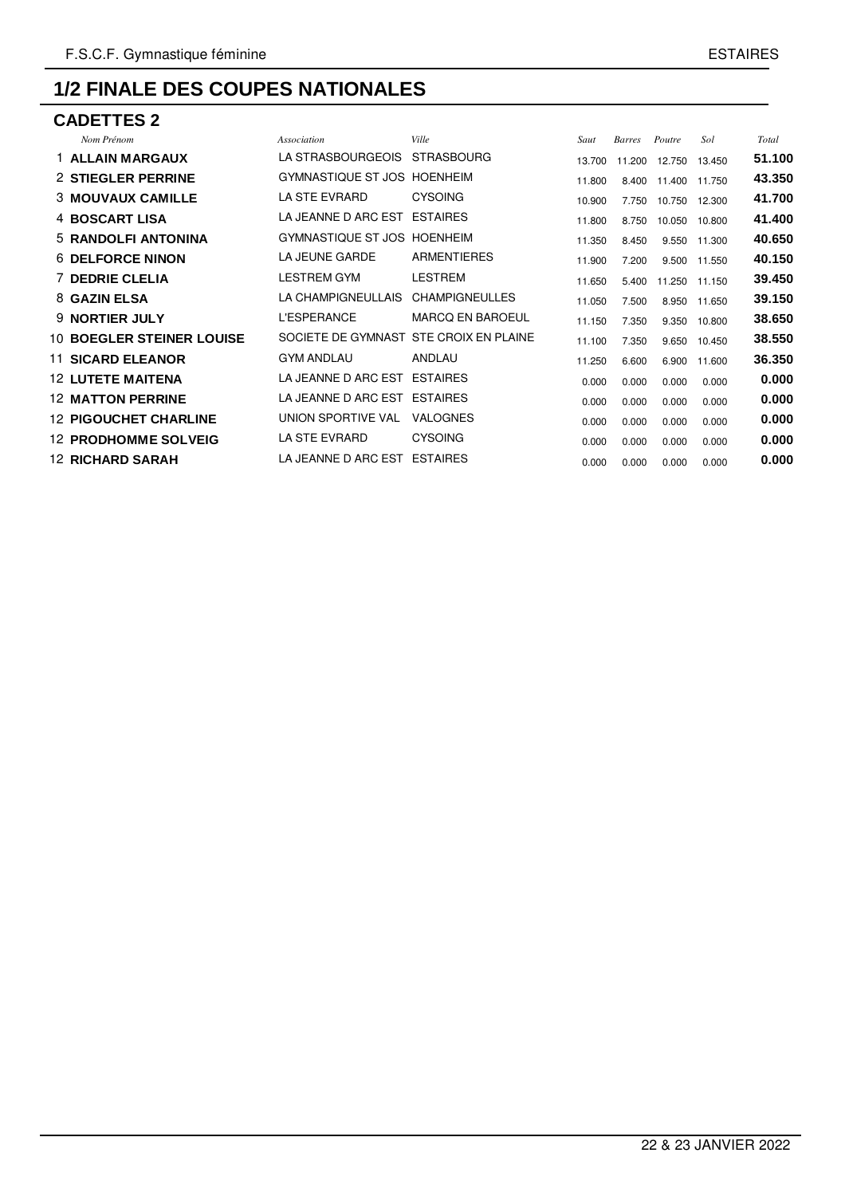#### **CADETTES 2**

| Nom Prénom                       | <b>Association</b> | <b>Ville</b>            | Saut                                                                                                                                                                                                                               |                                                                    |               | Sol              | Total                                                                                            |
|----------------------------------|--------------------|-------------------------|------------------------------------------------------------------------------------------------------------------------------------------------------------------------------------------------------------------------------------|--------------------------------------------------------------------|---------------|------------------|--------------------------------------------------------------------------------------------------|
| 1 ALLAIN MARGAUX                 | LA STRASBOURGEOIS  | <b>STRASBOURG</b>       | 13.700                                                                                                                                                                                                                             | 11.200                                                             | 12.750        | 13.450           | 51.100                                                                                           |
| 2 STIEGLER PERRINE               | GYMNASTIQUE ST JOS |                         |                                                                                                                                                                                                                                    | 8.400                                                              |               |                  | 43.350                                                                                           |
| <b>3 MOUVAUX CAMILLE</b>         | LA STE EVRARD      | <b>CYSOING</b>          | 10.900                                                                                                                                                                                                                             | 7.750                                                              | 10.750        |                  | 41.700                                                                                           |
| 4 BOSCART LISA                   |                    |                         |                                                                                                                                                                                                                                    | 8.750                                                              | 10.050        |                  | 41.400                                                                                           |
| 5 RANDOLFI ANTONINA              |                    |                         |                                                                                                                                                                                                                                    | 8.450                                                              | 9.550         |                  | 40.650                                                                                           |
| <b>6 DELFORCE NINON</b>          | LA JEUNE GARDE     | ARMENTIERES             | 11.900                                                                                                                                                                                                                             | 7.200                                                              | 9.500         |                  | 40.150                                                                                           |
| <b>7 DEDRIE CLELIA</b>           | <b>LESTREM GYM</b> | <b>LESTREM</b>          |                                                                                                                                                                                                                                    | 5.400                                                              | 11.250        |                  | 39.450                                                                                           |
| 8 GAZIN ELSA                     | LA CHAMPIGNEULLAIS | <b>CHAMPIGNEULLES</b>   |                                                                                                                                                                                                                                    | 7.500                                                              | 8.950         |                  | 39.150                                                                                           |
| <b>9 NORTIER JULY</b>            | <b>L'ESPERANCE</b> | <b>MARCQ EN BAROEUL</b> |                                                                                                                                                                                                                                    | 7.350                                                              | 9.350         |                  | 38.650                                                                                           |
| <b>10 BOEGLER STEINER LOUISE</b> |                    |                         |                                                                                                                                                                                                                                    | 7.350                                                              | 9.650         |                  | 38.550                                                                                           |
| <b>11 SICARD ELEANOR</b>         | <b>GYM ANDLAU</b>  | ANDLAU                  | 11.250                                                                                                                                                                                                                             | 6.600                                                              | 6.900         |                  | 36.350                                                                                           |
| <b>12 LUTETE MAITENA</b>         |                    |                         | 0.000                                                                                                                                                                                                                              | 0.000                                                              | 0.000         | 0.000            | 0.000                                                                                            |
| <b>12 MATTON PERRINE</b>         |                    |                         | 0.000                                                                                                                                                                                                                              | 0.000                                                              | 0.000         | 0.000            | 0.000                                                                                            |
| <b>12 PIGOUCHET CHARLINE</b>     | UNION SPORTIVE VAL | <b>VALOGNES</b>         | 0.000                                                                                                                                                                                                                              | 0.000                                                              | 0.000         | 0.000            | 0.000                                                                                            |
| <b>12 PRODHOMME SOLVEIG</b>      | LA STE EVRARD      | <b>CYSOING</b>          | 0.000                                                                                                                                                                                                                              | 0.000                                                              | 0.000         | 0.000            | 0.000                                                                                            |
| <b>12 RICHARD SARAH</b>          |                    |                         | 0.000                                                                                                                                                                                                                              | 0.000                                                              | 0.000         | 0.000            | 0.000                                                                                            |
|                                  |                    |                         | <b>HOENHEIM</b><br>LA JEANNE D ARC EST ESTAIRES<br>GYMNASTIQUE ST JOS HOENHEIM<br>SOCIETE DE GYMNAST STE CROIX EN PLAINE<br>LA JEANNE D ARC EST ESTAIRES<br>LA JEANNE D ARC EST<br><b>ESTAIRES</b><br>LA JEANNE D ARC EST ESTAIRES | 11.800<br>11.800<br>11.350<br>11.650<br>11.050<br>11.150<br>11.100 | <b>Barres</b> | Poutre<br>11.400 | 11.750<br>12.300<br>10.800<br>11.300<br>11.550<br>11.150<br>11.650<br>10.800<br>10.450<br>11.600 |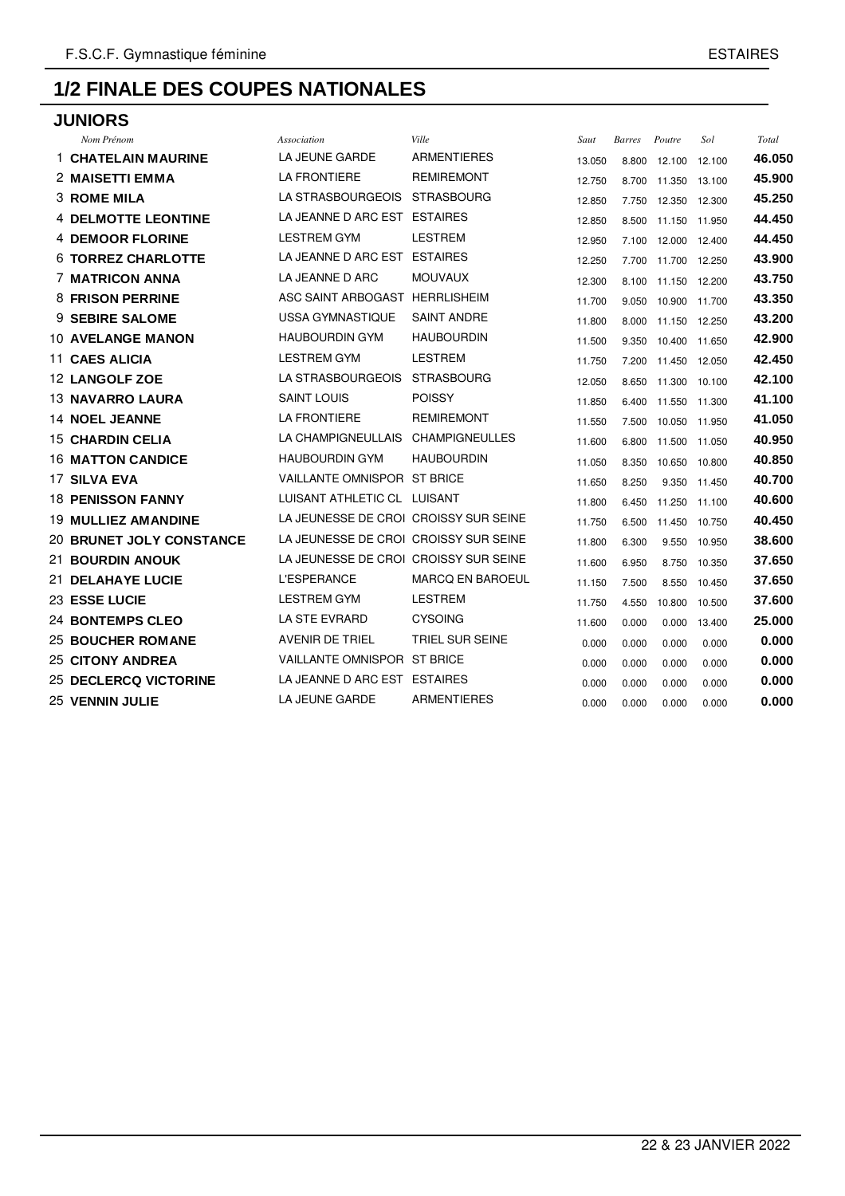# **JUNIORS**

| Nom Prénom                      | Association                           | Ville                   | Saut   | Barres | Poutre        | Sol    | Total  |
|---------------------------------|---------------------------------------|-------------------------|--------|--------|---------------|--------|--------|
| <b>1 CHATELAIN MAURINE</b>      | LA JEUNE GARDE                        | <b>ARMENTIERES</b>      | 13.050 | 8.800  | 12.100        | 12.100 | 46.050 |
| 2 MAISETTI EMMA                 | <b>LA FRONTIERE</b>                   | <b>REMIREMONT</b>       | 12.750 | 8.700  | 11.350        | 13.100 | 45.900 |
| <b>3 ROME MILA</b>              | LA STRASBOURGEOIS                     | <b>STRASBOURG</b>       | 12.850 | 7.750  | 12.350        | 12.300 | 45.250 |
| <b>4 DELMOTTE LEONTINE</b>      | LA JEANNE D ARC EST ESTAIRES          |                         | 12.850 | 8.500  | 11.150 11.950 |        | 44.450 |
| <b>4 DEMOOR FLORINE</b>         | <b>LESTREM GYM</b>                    | <b>LESTREM</b>          | 12.950 | 7.100  | 12.000        | 12.400 | 44.450 |
| <b>6 TORREZ CHARLOTTE</b>       | LA JEANNE D ARC EST ESTAIRES          |                         | 12.250 | 7.700  | 11.700 12.250 |        | 43.900 |
| <b>7 MATRICON ANNA</b>          | LA JEANNE D ARC                       | <b>MOUVAUX</b>          | 12.300 | 8.100  | 11.150        | 12.200 | 43.750 |
| <b>8 FRISON PERRINE</b>         | ASC SAINT ARBOGAST HERRLISHEIM        |                         | 11.700 | 9.050  | 10.900 11.700 |        | 43.350 |
| 9 SEBIRE SALOME                 | <b>USSA GYMNASTIQUE</b>               | <b>SAINT ANDRE</b>      | 11.800 | 8.000  | 11.150        | 12.250 | 43.200 |
| <b>10 AVELANGE MANON</b>        | <b>HAUBOURDIN GYM</b>                 | <b>HAUBOURDIN</b>       | 11.500 | 9.350  | 10.400        | 11.650 | 42.900 |
| <b>11 CAES ALICIA</b>           | <b>LESTREM GYM</b>                    | <b>LESTREM</b>          | 11.750 | 7.200  | 11.450 12.050 |        | 42.450 |
| <b>12 LANGOLF ZOE</b>           | LA STRASBOURGEOIS                     | <b>STRASBOURG</b>       | 12.050 | 8.650  | 11.300        | 10.100 | 42.100 |
| <b>13 NAVARRO LAURA</b>         | <b>SAINT LOUIS</b>                    | <b>POISSY</b>           | 11.850 | 6.400  | 11.550 11.300 |        | 41.100 |
| <b>14 NOEL JEANNE</b>           | <b>LA FRONTIERE</b>                   | <b>REMIREMONT</b>       | 11.550 | 7.500  | 10.050 11.950 |        | 41.050 |
| <b>15 CHARDIN CELIA</b>         | LA CHAMPIGNEULLAIS                    | <b>CHAMPIGNEULLES</b>   | 11.600 | 6.800  | 11.500        | 11.050 | 40.950 |
| <b>16 MATTON CANDICE</b>        | <b>HAUBOURDIN GYM</b>                 | <b>HAUBOURDIN</b>       | 11.050 | 8.350  | 10.650        | 10.800 | 40.850 |
| 17 SILVA EVA                    | VAILLANTE OMNISPOR ST BRICE           |                         | 11.650 | 8.250  | 9.350         | 11.450 | 40.700 |
| <b>18 PENISSON FANNY</b>        | LUISANT ATHLETIC CL LUISANT           |                         | 11.800 | 6.450  | 11.250        | 11.100 | 40.600 |
| <b>19 MULLIEZ AMANDINE</b>      | LA JEUNESSE DE CROI CROISSY SUR SEINE |                         | 11.750 | 6.500  | 11.450        | 10.750 | 40.450 |
| <b>20 BRUNET JOLY CONSTANCE</b> | LA JEUNESSE DE CROI CROISSY SUR SEINE |                         | 11.800 | 6.300  | 9.550         | 10.950 | 38,600 |
| 21 BOURDIN ANOUK                | LA JEUNESSE DE CROI CROISSY SUR SEINE |                         | 11.600 | 6.950  | 8.750         | 10.350 | 37.650 |
| <b>21 DELAHAYE LUCIE</b>        | <b>L'ESPERANCE</b>                    | <b>MARCQ EN BAROEUL</b> | 11.150 | 7.500  | 8.550         | 10.450 | 37.650 |
| <b>23 ESSE LUCIE</b>            | <b>LESTREM GYM</b>                    | <b>LESTREM</b>          | 11.750 | 4.550  | 10.800        | 10.500 | 37.600 |
| <b>24 BONTEMPS CLEO</b>         | LA STE EVRARD                         | <b>CYSOING</b>          | 11.600 | 0.000  | 0.000         | 13.400 | 25,000 |
| <b>25 BOUCHER ROMANE</b>        | AVENIR DE TRIEL                       | <b>TRIEL SUR SEINE</b>  | 0.000  | 0.000  | 0.000         | 0.000  | 0.000  |
| <b>25 CITONY ANDREA</b>         | VAILLANTE OMNISPOR ST BRICE           |                         | 0.000  | 0.000  | 0.000         | 0.000  | 0.000  |
| <b>25 DECLERCQ VICTORINE</b>    | LA JEANNE D ARC EST ESTAIRES          |                         | 0.000  | 0.000  | 0.000         | 0.000  | 0.000  |
| 25 VENNIN JULIE                 | LA JEUNE GARDE                        | <b>ARMENTIERES</b>      | 0.000  | 0.000  | 0.000         | 0.000  | 0.000  |
|                                 |                                       |                         |        |        |               |        |        |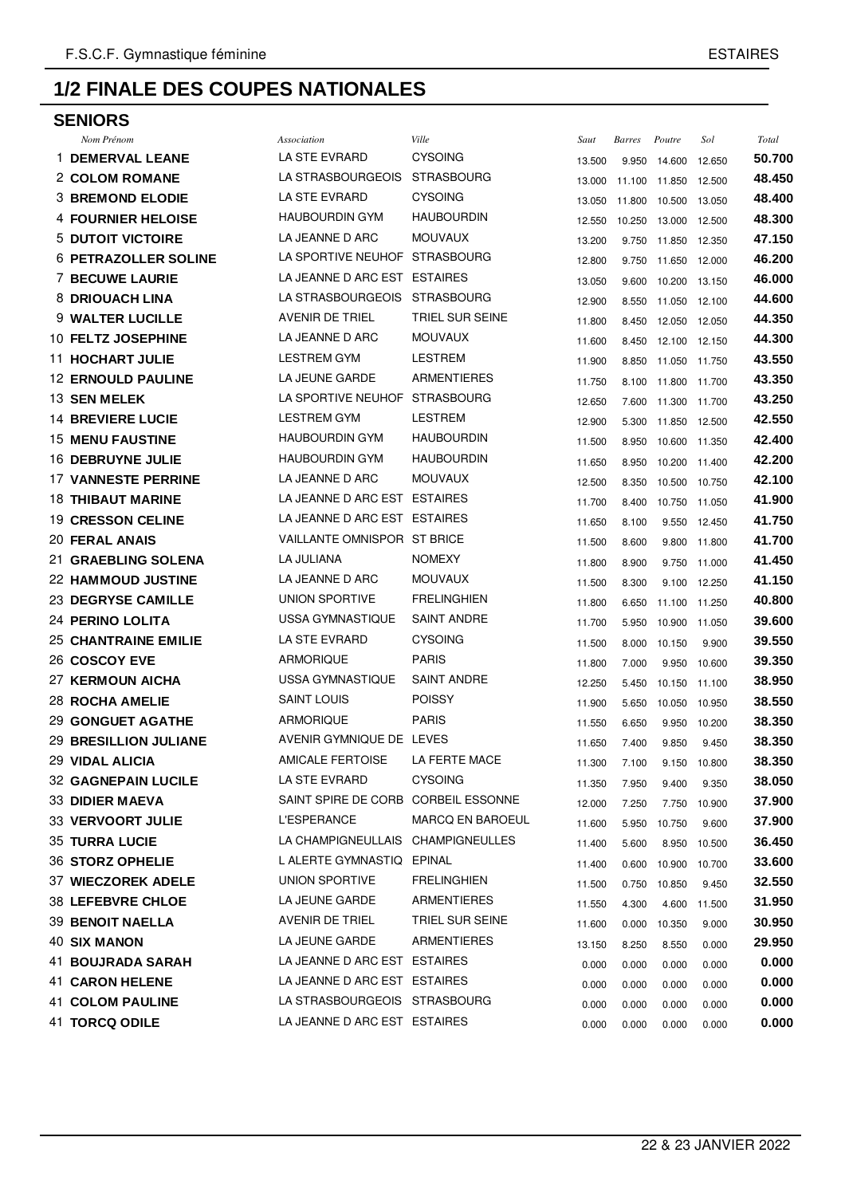#### **SENIORS**

| Nom Prénom                   | Association                         | Ville                   | Saut   | Barres | Poutre               | Sol    | Total  |
|------------------------------|-------------------------------------|-------------------------|--------|--------|----------------------|--------|--------|
| <b>1 DEMERVAL LEANE</b>      | LA STE EVRARD                       | <b>CYSOING</b>          | 13.500 | 9.950  | 14.600               | 12.650 | 50.700 |
| <b>2 COLOM ROMANE</b>        | LA STRASBOURGEOIS                   | <b>STRASBOURG</b>       | 13.000 |        | 11.100 11.850 12.500 |        | 48.450 |
| <b>3 BREMOND ELODIE</b>      | LA STE EVRARD                       | <b>CYSOING</b>          | 13.050 |        | 11.800 10.500 13.050 |        | 48.400 |
| <b>4 FOURNIER HELOISE</b>    | <b>HAUBOURDIN GYM</b>               | <b>HAUBOURDIN</b>       | 12.550 | 10.250 | 13.000 12.500        |        | 48.300 |
| <b>5 DUTOIT VICTOIRE</b>     | LA JEANNE D ARC                     | <b>MOUVAUX</b>          | 13.200 | 9.750  | 11.850 12.350        |        | 47.150 |
| <b>6 PETRAZOLLER SOLINE</b>  | LA SPORTIVE NEUHOF                  | STRASBOURG              | 12.800 |        | 9.750 11.650 12.000  |        | 46.200 |
| <b>7 BECUWE LAURIE</b>       | LA JEANNE D ARC EST ESTAIRES        |                         | 13.050 | 9.600  | 10.200 13.150        |        | 46.000 |
| 8 DRIOUACH LINA              | LA STRASBOURGEOIS                   | <b>STRASBOURG</b>       | 12.900 | 8.550  | 11.050 12.100        |        | 44.600 |
| 9 WALTER LUCILLE             | AVENIR DE TRIEL                     | <b>TRIEL SUR SEINE</b>  | 11.800 | 8.450  | 12.050 12.050        |        | 44.350 |
| <b>10 FELTZ JOSEPHINE</b>    | LA JEANNE D ARC                     | <b>MOUVAUX</b>          | 11.600 | 8.450  | 12.100 12.150        |        | 44.300 |
| <b>11 HOCHART JULIE</b>      | <b>LESTREM GYM</b>                  | <b>LESTREM</b>          | 11.900 |        | 8.850 11.050 11.750  |        | 43.550 |
| <b>12 ERNOULD PAULINE</b>    | LA JEUNE GARDE                      | <b>ARMENTIERES</b>      | 11.750 | 8.100  | 11.800 11.700        |        | 43.350 |
| 13 SEN MELEK                 | LA SPORTIVE NEUHOF STRASBOURG       |                         | 12.650 | 7.600  | 11.300 11.700        |        | 43.250 |
| <b>14 BREVIERE LUCIE</b>     | <b>LESTREM GYM</b>                  | <b>LESTREM</b>          | 12.900 | 5.300  | 11.850 12.500        |        | 42.550 |
| <b>15 MENU FAUSTINE</b>      | <b>HAUBOURDIN GYM</b>               | <b>HAUBOURDIN</b>       | 11.500 | 8.950  | 10.600 11.350        |        | 42.400 |
| <b>16 DEBRUYNE JULIE</b>     | <b>HAUBOURDIN GYM</b>               | <b>HAUBOURDIN</b>       | 11.650 | 8.950  | 10.200 11.400        |        | 42.200 |
| <b>17 VANNESTE PERRINE</b>   | LA JEANNE D ARC                     | <b>MOUVAUX</b>          | 12.500 | 8.350  | 10.500 10.750        |        | 42.100 |
| <b>18 THIBAUT MARINE</b>     | LA JEANNE D ARC EST ESTAIRES        |                         | 11.700 | 8.400  | 10.750 11.050        |        | 41.900 |
| <b>19 CRESSON CELINE</b>     | LA JEANNE D ARC EST ESTAIRES        |                         | 11.650 | 8.100  | 9.550 12.450         |        | 41.750 |
| <b>20 FERAL ANAIS</b>        | VAILLANTE OMNISPOR ST BRICE         |                         | 11.500 | 8.600  | 9.800 11.800         |        | 41.700 |
| 21 GRAEBLING SOLENA          | LA JULIANA                          | <b>NOMEXY</b>           | 11.800 | 8.900  | 9.750 11.000         |        | 41.450 |
| <b>22 HAMMOUD JUSTINE</b>    | LA JEANNE D ARC                     | <b>MOUVAUX</b>          | 11.500 | 8.300  | 9.100 12.250         |        | 41.150 |
| <b>23 DEGRYSE CAMILLE</b>    | <b>UNION SPORTIVE</b>               | <b>FRELINGHIEN</b>      | 11.800 | 6.650  | 11.100 11.250        |        | 40.800 |
| <b>24 PERINO LOLITA</b>      | USSA GYMNASTIQUE                    | <b>SAINT ANDRE</b>      | 11.700 | 5.950  | 10.900 11.050        |        | 39.600 |
| <b>25 CHANTRAINE EMILIE</b>  | LA STE EVRARD                       | <b>CYSOING</b>          | 11.500 | 8.000  | 10.150               | 9.900  | 39.550 |
| 26 COSCOY EVE                | <b>ARMORIQUE</b>                    | <b>PARIS</b>            | 11.800 | 7.000  | 9.950 10.600         |        | 39.350 |
| <b>27 KERMOUN AICHA</b>      | USSA GYMNASTIQUE                    | <b>SAINT ANDRE</b>      | 12.250 | 5.450  | 10.150 11.100        |        | 38.950 |
| <b>28 ROCHA AMELIE</b>       | <b>SAINT LOUIS</b>                  | <b>POISSY</b>           | 11.900 | 5.650  | 10.050 10.950        |        | 38.550 |
| <b>29 GONGUET AGATHE</b>     | <b>ARMORIQUE</b>                    | <b>PARIS</b>            | 11.550 | 6.650  | 9.950 10.200         |        | 38.350 |
| <b>29 BRESILLION JULIANE</b> | AVENIR GYMNIQUE DE LEVES            |                         | 11.650 | 7.400  | 9.850                | 9.450  | 38.350 |
| <b>29 VIDAL ALICIA</b>       | <b>AMICALE FERTOISE</b>             | LA FERTE MACE           | 11.300 | 7.100  | 9.150 10.800         |        | 38.350 |
| <b>32 GAGNEPAIN LUCILE</b>   | LA STE EVRARD                       | <b>CYSOING</b>          | 11.350 | 7.950  | 9.400                | 9.350  | 38.050 |
| <b>33 DIDIER MAEVA</b>       | SAINT SPIRE DE CORB CORBEIL ESSONNE |                         | 12.000 | 7.250  | 7.750 10.900         |        | 37.900 |
| <b>33 VERVOORT JULIE</b>     | <b>L'ESPERANCE</b>                  | <b>MARCQ EN BAROEUL</b> | 11.600 |        | 5.950 10.750         | 9.600  | 37.900 |
| <b>35 TURRA LUCIE</b>        | LA CHAMPIGNEULLAIS CHAMPIGNEULLES   |                         | 11.400 | 5.600  | 8.950 10.500         |        | 36.450 |
| 36 STORZ OPHELIE             | L ALERTE GYMNASTIQ                  | EPINAL                  | 11.400 |        | 0.600 10.900 10.700  |        | 33.600 |
| <b>37 WIECZOREK ADELE</b>    | <b>UNION SPORTIVE</b>               | <b>FRELINGHIEN</b>      | 11.500 |        | 0.750 10.850         | 9.450  | 32.550 |
| <b>38 LEFEBVRE CHLOE</b>     | LA JEUNE GARDE                      | <b>ARMENTIERES</b>      | 11.550 | 4.300  | 4.600 11.500         |        | 31.950 |
| <b>39 BENOIT NAELLA</b>      | AVENIR DE TRIEL                     | TRIEL SUR SEINE         | 11.600 |        | 0.000 10.350         | 9.000  | 30.950 |
| <b>40 SIX MANON</b>          | LA JEUNE GARDE                      | <b>ARMENTIERES</b>      | 13.150 | 8.250  | 8.550                | 0.000  | 29.950 |
| <b>41 BOUJRADA SARAH</b>     | LA JEANNE D ARC EST ESTAIRES        |                         | 0.000  | 0.000  | 0.000                | 0.000  | 0.000  |
| <b>41 CARON HELENE</b>       | LA JEANNE D ARC EST ESTAIRES        |                         | 0.000  | 0.000  | 0.000                | 0.000  | 0.000  |
| <b>41 COLOM PAULINE</b>      | LA STRASBOURGEOIS STRASBOURG        |                         | 0.000  | 0.000  | 0.000                | 0.000  | 0.000  |
| <b>41 TORCQ ODILE</b>        | LA JEANNE D ARC EST ESTAIRES        |                         | 0.000  | 0.000  | 0.000                | 0.000  | 0.000  |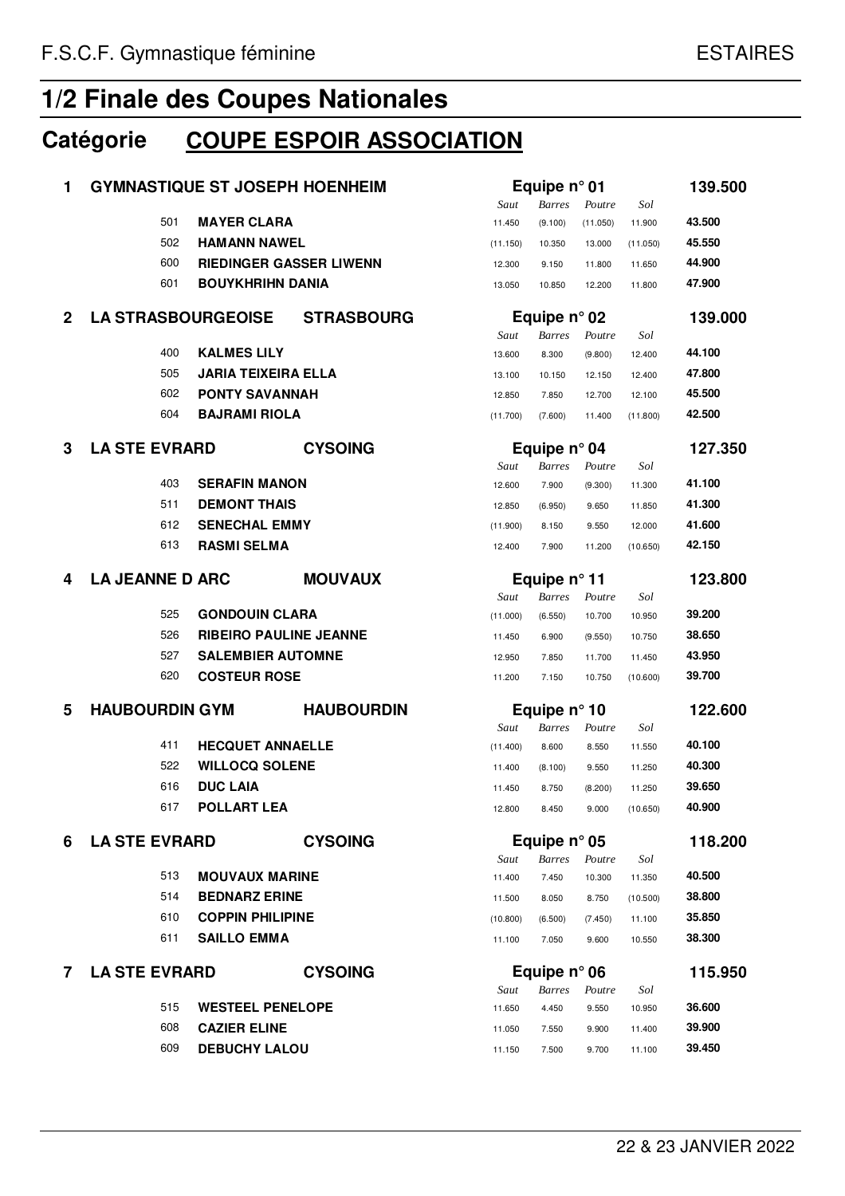## **Catégorie COUPE ESPOIR ASSOCIATION**

| 1            | <b>GYMNASTIQUE ST JOSEPH HOENHEIM</b> |                                |                   |          | Equipe $n^{\circ}$ 01 |          |          | 139.500 |
|--------------|---------------------------------------|--------------------------------|-------------------|----------|-----------------------|----------|----------|---------|
|              |                                       |                                |                   | Saut     | <b>Barres</b>         | Poutre   | Sol      |         |
|              | 501                                   | <b>MAYER CLARA</b>             |                   | 11.450   | (9.100)               | (11.050) | 11.900   | 43.500  |
|              | 502                                   | <b>HAMANN NAWEL</b>            |                   | (11.150) | 10.350                | 13.000   | (11.050) | 45.550  |
|              | 600                                   | <b>RIEDINGER GASSER LIWENN</b> |                   | 12.300   | 9.150                 | 11.800   | 11.650   | 44.900  |
|              | 601                                   | <b>BOUYKHRIHN DANIA</b>        |                   | 13.050   | 10.850                | 12.200   | 11.800   | 47.900  |
| $\mathbf{2}$ | <b>LA STRASBOURGEOISE</b>             |                                | <b>STRASBOURG</b> |          | Equipe $n^{\circ}$ 02 |          |          | 139.000 |
|              |                                       |                                |                   | Saut     | <b>Barres</b>         | Poutre   | Sol      |         |
|              | 400                                   | <b>KALMES LILY</b>             |                   | 13.600   | 8.300                 | (9.800)  | 12.400   | 44.100  |
|              | 505                                   | <b>JARIA TEIXEIRA ELLA</b>     |                   | 13.100   | 10.150                | 12.150   | 12.400   | 47.800  |
|              | 602                                   | <b>PONTY SAVANNAH</b>          |                   | 12.850   | 7.850                 | 12.700   | 12.100   | 45.500  |
|              | 604                                   | <b>BAJRAMI RIOLA</b>           |                   | (11.700) | (7.600)               | 11.400   | (11.800) | 42.500  |
| 3            | <b>LA STE EVRARD</b>                  |                                | <b>CYSOING</b>    |          | Equipe $n^{\circ}$ 04 |          |          | 127.350 |
|              |                                       |                                |                   | Saut     | Barres                | Poutre   | Sol      |         |
|              | 403                                   | <b>SERAFIN MANON</b>           |                   | 12.600   | 7.900                 | (9.300)  | 11.300   | 41.100  |
|              | 511                                   | <b>DEMONT THAIS</b>            |                   | 12.850   | (6.950)               | 9.650    | 11.850   | 41.300  |
|              | 612                                   | <b>SENECHAL EMMY</b>           |                   | (11.900) | 8.150                 | 9.550    | 12.000   | 41.600  |
|              | 613                                   | <b>RASMI SELMA</b>             |                   | 12.400   | 7.900                 | 11.200   | (10.650) | 42.150  |
| 4            | <b>LA JEANNE D ARC</b>                |                                | <b>MOUVAUX</b>    |          | Equipe $n^{\circ}$ 11 |          |          | 123.800 |
|              |                                       |                                |                   | Saut     | <b>Barres</b>         | Poutre   | Sol      |         |
|              | 525                                   | <b>GONDOUIN CLARA</b>          |                   | (11.000) | (6.550)               | 10.700   | 10.950   | 39.200  |
|              | 526                                   | <b>RIBEIRO PAULINE JEANNE</b>  |                   | 11.450   | 6.900                 | (9.550)  | 10.750   | 38.650  |
|              | 527                                   | <b>SALEMBIER AUTOMNE</b>       |                   | 12.950   | 7.850                 | 11.700   | 11.450   | 43.950  |
|              | 620                                   | <b>COSTEUR ROSE</b>            |                   | 11.200   | 7.150                 | 10.750   | (10.600) | 39.700  |
| 5            | <b>HAUBOURDIN GYM</b>                 |                                | <b>HAUBOURDIN</b> |          | Equipe $n^{\circ}$ 10 |          |          | 122.600 |
|              | 411                                   | <b>HECQUET ANNAELLE</b>        |                   | Saut     | <b>Barres</b>         | Poutre   | Sol      | 40.100  |
|              | 522                                   | <b>WILLOCQ SOLENE</b>          |                   | (11.400) | 8.600                 | 8.550    | 11.550   | 40.300  |
|              | 616                                   | <b>DUC LAIA</b>                |                   | 11.400   | (8.100)               | 9.550    | 11.250   | 39.650  |
|              |                                       |                                |                   | 11.450   | 8.750                 | (8.200)  | 11.250   | 40.900  |
|              | 617                                   | <b>POLLART LEA</b>             |                   | 12.800   | 8.450                 | 9.000    | (10.650) |         |
| 6            | <b>LA STE EVRARD</b>                  |                                | <b>CYSOING</b>    |          | Equipe $n^{\circ}$ 05 |          |          | 118.200 |
|              |                                       |                                |                   | Saut     | Barres                | Poutre   | Sol      |         |
|              | 513                                   | <b>MOUVAUX MARINE</b>          |                   | 11.400   | 7.450                 | 10.300   | 11.350   | 40.500  |
|              | 514                                   | <b>BEDNARZ ERINE</b>           |                   | 11.500   | 8.050                 | 8.750    | (10.500) | 38.800  |
|              | 610                                   | <b>COPPIN PHILIPINE</b>        |                   | (10.800) | (6.500)               | (7.450)  | 11.100   | 35.850  |
|              | 611                                   | <b>SAILLO EMMA</b>             |                   | 11.100   | 7.050                 | 9.600    | 10.550   | 38.300  |
| 7            | <b>LA STE EVRARD</b>                  |                                | <b>CYSOING</b>    |          | Equipe $n^{\circ}$ 06 |          |          | 115.950 |
|              |                                       |                                |                   | Saut     | <b>Barres</b>         | Poutre   | Sol      |         |
|              | 515                                   | <b>WESTEEL PENELOPE</b>        |                   | 11.650   | 4.450                 | 9.550    | 10.950   | 36.600  |
|              | 608                                   | <b>CAZIER ELINE</b>            |                   | 11.050   | 7.550                 | 9.900    | 11.400   | 39.900  |
|              | 609                                   | <b>DEBUCHY LALOU</b>           |                   | 11.150   | 7.500                 | 9.700    | 11.100   | 39.450  |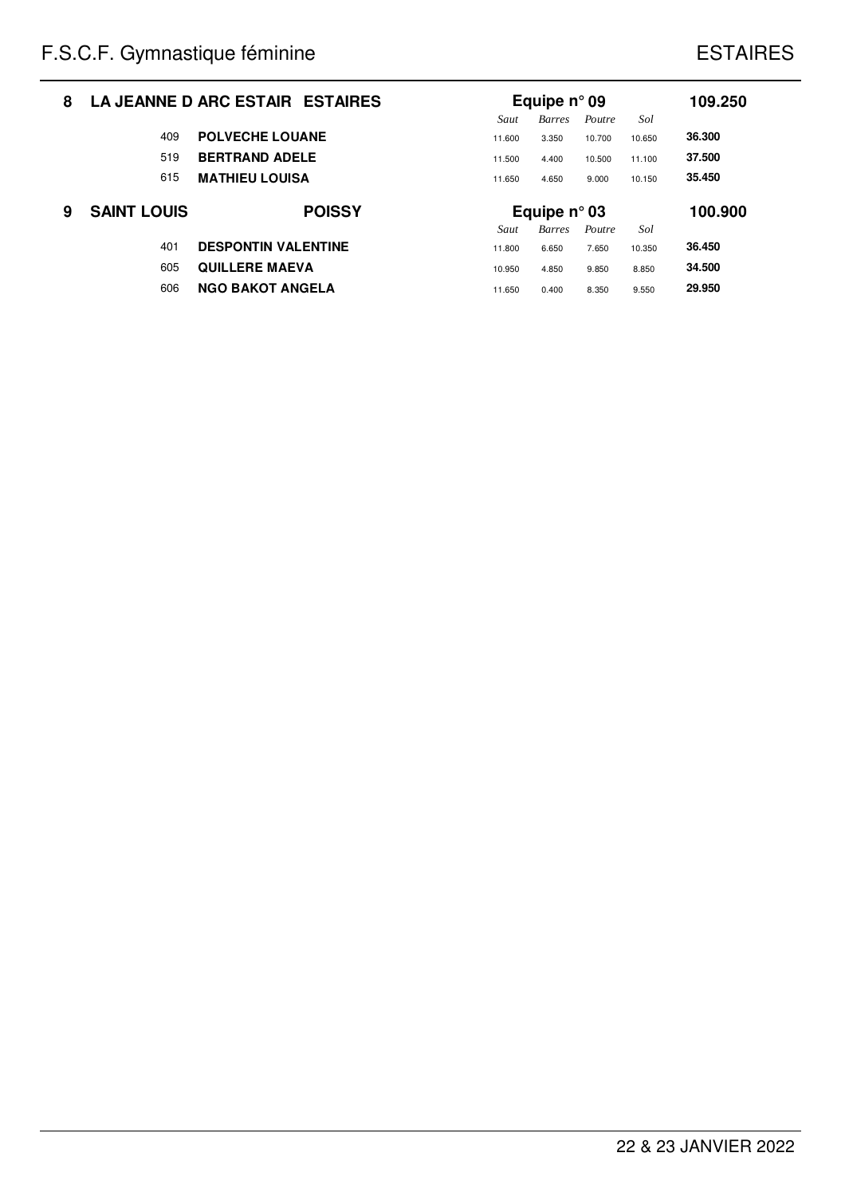| 8 |                    | LA JEANNE D ARC ESTAIR ESTAIRES | Equipe $n^{\circ}$ 09<br>Sol<br>Saut<br><b>Barres</b><br>Poutre |                       |        |        |         |  |
|---|--------------------|---------------------------------|-----------------------------------------------------------------|-----------------------|--------|--------|---------|--|
|   | 409                | <b>POLVECHE LOUANE</b>          | 11.600                                                          | 3.350                 | 10.700 | 10.650 | 36,300  |  |
|   | 519                | <b>BERTRAND ADELE</b>           | 11.500                                                          | 4.400                 | 10.500 | 11.100 | 37.500  |  |
|   | 615                | <b>MATHIEU LOUISA</b>           | 11.650                                                          | 4.650                 | 9.000  | 10.150 | 35.450  |  |
|   |                    |                                 |                                                                 |                       |        |        |         |  |
| 9 | <b>SAINT LOUIS</b> | <b>POISSY</b>                   |                                                                 | Equipe $n^{\circ}$ 03 |        |        | 100.900 |  |
|   |                    |                                 | Saut                                                            | <b>Barres</b>         | Poutre | Sol    |         |  |
|   | 401                | <b>DESPONTIN VALENTINE</b>      | 11.800                                                          | 6.650                 | 7.650  | 10.350 | 36.450  |  |
|   | 605                | <b>OULLERE MAEVA</b>            | 10.950                                                          | 4.850                 | 9.850  | 8.850  | 34.500  |  |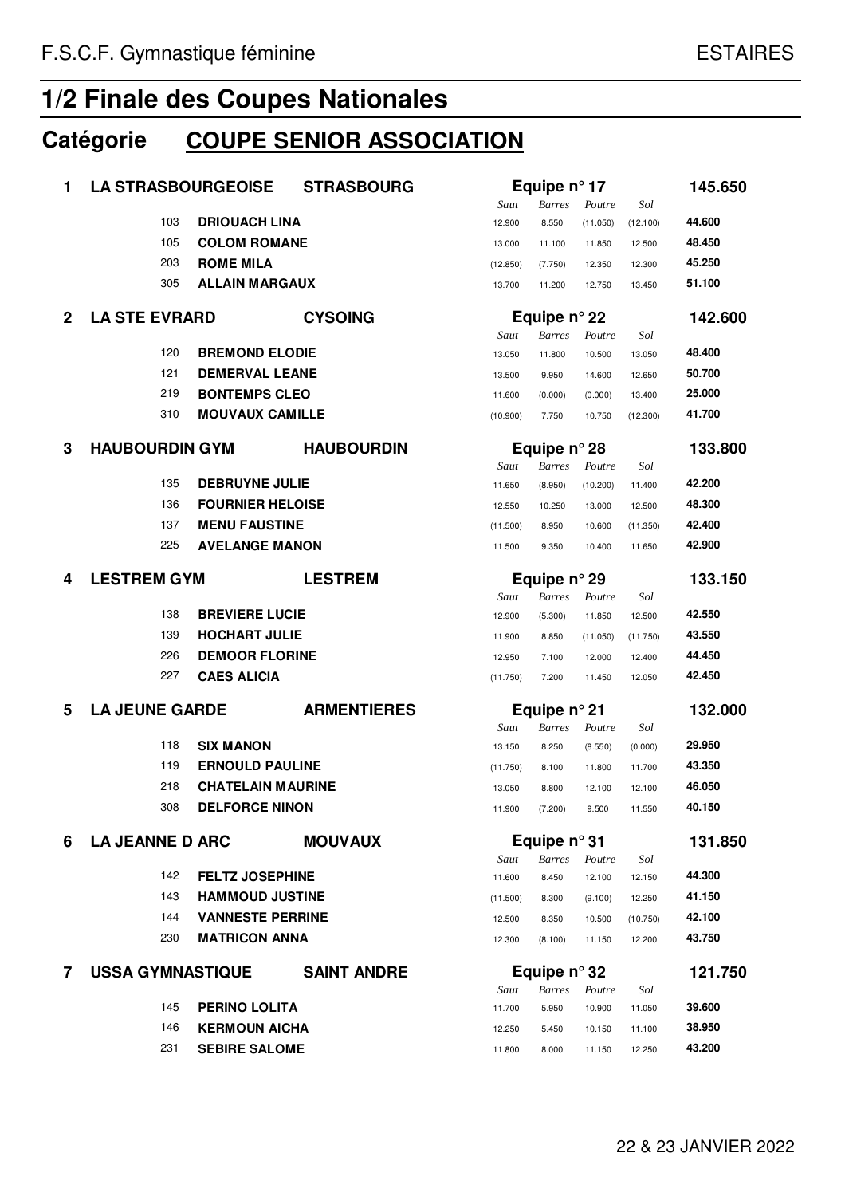## **Catégorie COUPE SENIOR ASSOCIATION**

| 1            | <b>LA STRASBOURGEOISE</b> |                          | <b>STRASBOURG</b>  |                  | Equipe $n^{\circ}$ 17                  |                   |                  | 145.650 |
|--------------|---------------------------|--------------------------|--------------------|------------------|----------------------------------------|-------------------|------------------|---------|
|              |                           |                          |                    | Saut             | <b>Barres</b>                          | Poutre            | Sol              |         |
|              | 103                       | <b>DRIOUACH LINA</b>     |                    | 12.900           | 8.550                                  | (11.050)          | (12.100)         | 44.600  |
|              | 105                       | <b>COLOM ROMANE</b>      |                    | 13.000           | 11.100                                 | 11.850            | 12.500           | 48.450  |
|              | 203                       | <b>ROME MILA</b>         |                    | (12.850)         | (7.750)                                | 12.350            | 12.300           | 45.250  |
|              | 305                       | <b>ALLAIN MARGAUX</b>    |                    | 13.700           | 11.200                                 | 12.750            | 13.450           | 51.100  |
| $\mathbf{2}$ | <b>LA STE EVRARD</b>      |                          | <b>CYSOING</b>     |                  | Equipe $n^{\circ}$ 22                  |                   |                  | 142.600 |
|              | 120                       | <b>BREMOND ELODIE</b>    |                    | Saut             | <b>Barres</b>                          | Poutre            | Sol              | 48.400  |
|              | 121                       | <b>DEMERVAL LEANE</b>    |                    | 13.050           | 11.800                                 | 10.500            | 13.050           | 50.700  |
|              | 219                       | <b>BONTEMPS CLEO</b>     |                    | 13.500<br>11.600 | 9.950                                  | 14.600            | 12.650<br>13.400 | 25.000  |
|              | 310                       | <b>MOUVAUX CAMILLE</b>   |                    |                  | (0.000)<br>7.750                       | (0.000)<br>10.750 |                  | 41.700  |
|              |                           |                          |                    | (10.900)         |                                        |                   | (12.300)         |         |
| 3            | <b>HAUBOURDIN GYM</b>     |                          | <b>HAUBOURDIN</b>  | Saut             | Equipe $n^{\circ}$ 28<br><b>Barres</b> | Poutre            | Sol              | 133.800 |
|              | 135                       | <b>DEBRUYNE JULIE</b>    |                    | 11.650           | (8.950)                                | (10.200)          | 11.400           | 42.200  |
|              | 136                       | <b>FOURNIER HELOISE</b>  |                    | 12.550           | 10.250                                 | 13.000            | 12.500           | 48.300  |
|              | 137                       | <b>MENU FAUSTINE</b>     |                    | (11.500)         | 8.950                                  | 10.600            | (11.350)         | 42.400  |
|              | 225                       | <b>AVELANGE MANON</b>    |                    | 11.500           | 9.350                                  | 10.400            | 11.650           | 42.900  |
| 4            | <b>LESTREM GYM</b>        |                          | <b>LESTREM</b>     |                  | Equipe $n^{\circ}$ 29                  |                   |                  | 133.150 |
|              |                           |                          |                    | Saut             | <b>Barres</b>                          | Poutre            | Sol              |         |
|              | 138                       | <b>BREVIERE LUCIE</b>    |                    | 12.900           | (5.300)                                | 11.850            | 12.500           | 42.550  |
|              | 139                       | <b>HOCHART JULIE</b>     |                    | 11.900           | 8.850                                  | (11.050)          | (11.750)         | 43.550  |
|              | 226                       | <b>DEMOOR FLORINE</b>    |                    | 12.950           | 7.100                                  | 12.000            | 12.400           | 44.450  |
|              | 227                       | <b>CAES ALICIA</b>       |                    | (11.750)         | 7.200                                  | 11.450            | 12.050           | 42.450  |
| 5            | <b>LA JEUNE GARDE</b>     |                          | <b>ARMENTIERES</b> |                  | Equipe $n^{\circ}$ 21                  |                   |                  | 132.000 |
|              |                           |                          |                    | Saut             | <b>Barres</b>                          | Poutre            | Sol              |         |
|              | 118                       | <b>SIX MANON</b>         |                    | 13.150           | 8.250                                  | (8.550)           | (0.000)          | 29.950  |
|              | 119                       | <b>ERNOULD PAULINE</b>   |                    | (11.750)         | 8.100                                  | 11.800            | 11.700           | 43.350  |
|              | 218                       | <b>CHATELAIN MAURINE</b> |                    | 13.050           | 8.800                                  | 12.100            | 12.100           | 46.050  |
|              | 308                       | <b>DELFORCE NINON</b>    |                    | 11.900           | (7.200)                                | 9.500             | 11.550           | 40.150  |
| 6            | <b>LA JEANNE D ARC</b>    |                          | <b>MOUVAUX</b>     |                  | Equipe n° 31                           |                   |                  | 131.850 |
|              |                           |                          |                    | Saut             | <b>Barres</b>                          | Poutre            | Sol              |         |
|              | 142                       | <b>FELTZ JOSEPHINE</b>   |                    | 11.600           | 8.450                                  | 12.100            | 12.150           | 44.300  |
|              | 143                       | <b>HAMMOUD JUSTINE</b>   |                    | (11.500)         | 8.300                                  | (9.100)           | 12.250           | 41.150  |
|              | 144                       | <b>VANNESTE PERRINE</b>  |                    | 12.500           | 8.350                                  | 10.500            | (10.750)         | 42.100  |
|              | 230                       | <b>MATRICON ANNA</b>     |                    | 12.300           | (8.100)                                | 11.150            | 12.200           | 43.750  |
| 7            | <b>USSA GYMNASTIQUE</b>   |                          | <b>SAINT ANDRE</b> |                  | Equipe $n^{\circ}$ 32                  |                   |                  | 121.750 |
|              |                           |                          |                    | Saut             | <b>Barres</b>                          | Poutre            | Sol              |         |
|              | 145                       | <b>PERINO LOLITA</b>     |                    | 11.700           | 5.950                                  | 10.900            | 11.050           | 39.600  |
|              | 146                       | <b>KERMOUN AICHA</b>     |                    | 12.250           | 5.450                                  | 10.150            | 11.100           | 38.950  |
|              | 231                       | <b>SEBIRE SALOME</b>     |                    | 11.800           | 8.000                                  | 11.150            | 12.250           | 43.200  |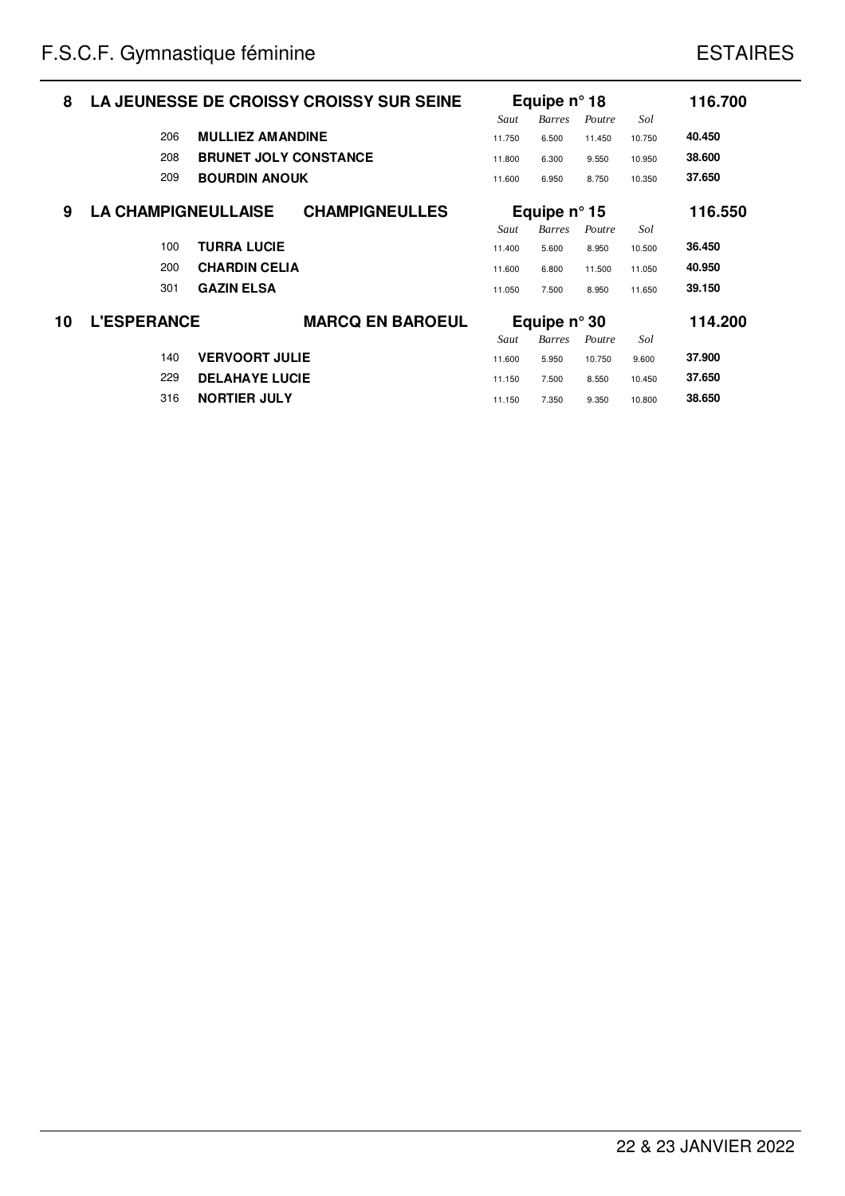| 8  |                            |                              | LA JEUNESSE DE CROISSY CROISSY SUR SEINE |                | Equipe $n^{\circ}$ 18  |                  |               | 116.700 |
|----|----------------------------|------------------------------|------------------------------------------|----------------|------------------------|------------------|---------------|---------|
|    | 206                        | <b>MULLIEZ AMANDINE</b>      |                                          | Saut<br>11.750 | <b>Barres</b><br>6.500 | Poutre<br>11.450 | Sol<br>10.750 | 40.450  |
|    | 208                        | <b>BRUNET JOLY CONSTANCE</b> |                                          | 11.800         | 6.300                  | 9.550            | 10.950        | 38.600  |
|    | 209                        | <b>BOURDIN ANOUK</b>         |                                          | 11.600         | 6.950                  | 8.750            | 10.350        | 37.650  |
| 9  | <b>LA CHAMPIGNEULLAISE</b> |                              | <b>CHAMPIGNEULLES</b>                    |                | Equipe $n^{\circ}$ 15  |                  |               | 116.550 |
|    |                            |                              |                                          | Saut           | <b>Barres</b>          | Poutre           | Sol           |         |
|    | 100                        | <b>TURRA LUCIE</b>           |                                          | 11.400         | 5.600                  | 8.950            | 10.500        | 36.450  |
|    | 200                        | <b>CHARDIN CELIA</b>         |                                          | 11.600         | 6.800                  | 11.500           | 11.050        | 40.950  |
|    | 301                        | <b>GAZIN ELSA</b>            |                                          | 11.050         | 7.500                  | 8.950            | 11.650        | 39.150  |
| 10 | <b>L'ESPERANCE</b>         |                              | <b>MARCQ EN BAROEUL</b>                  |                | Equipe $n^{\circ}$ 30  |                  |               | 114.200 |
|    |                            |                              |                                          | Saut           | <b>Barres</b>          | Poutre           | Sol           |         |
|    | 140                        | <b>VERVOORT JULIE</b>        |                                          | 11.600         | 5.950                  | 10.750           | 9.600         | 37.900  |
|    | 229                        | <b>DELAHAYE LUCIE</b>        |                                          | 11.150         | 7.500                  | 8.550            | 10.450        | 37.650  |
|    | 316                        | <b>NORTIER JULY</b>          |                                          | 11.150         | 7.350                  | 9.350            | 10.800        | 38,650  |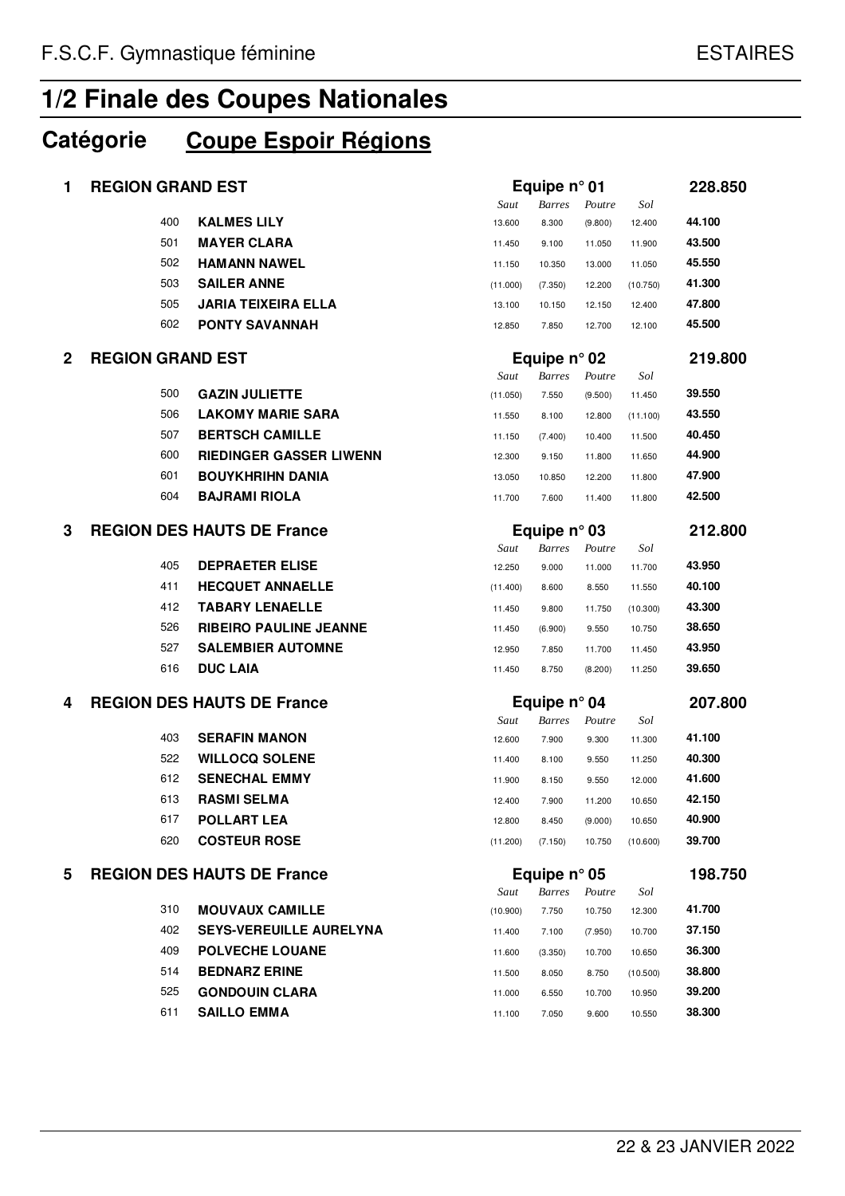## **Catégorie Coupe Espoir Régions**

| 1           |                         | <b>REGION GRAND EST</b>           |          | Equipe $n^{\circ}$ 01 |         |          |         |
|-------------|-------------------------|-----------------------------------|----------|-----------------------|---------|----------|---------|
|             |                         |                                   | Saut     | <b>Barres</b>         | Poutre  | Sol      |         |
|             | 400                     | <b>KALMES LILY</b>                | 13.600   | 8.300                 | (9.800) | 12.400   | 44.100  |
|             | 501                     | <b>MAYER CLARA</b>                | 11.450   | 9.100                 | 11.050  | 11.900   | 43.500  |
|             | 502                     | <b>HAMANN NAWEL</b>               | 11.150   | 10.350                | 13.000  | 11.050   | 45.550  |
|             | 503                     | <b>SAILER ANNE</b>                | (11.000) | (7.350)               | 12.200  | (10.750) | 41.300  |
|             | 505                     | <b>JARIA TEIXEIRA ELLA</b>        | 13.100   | 10.150                | 12.150  | 12.400   | 47.800  |
|             | 602                     | <b>PONTY SAVANNAH</b>             | 12.850   | 7.850                 | 12.700  | 12.100   | 45.500  |
| $\mathbf 2$ | <b>REGION GRAND EST</b> |                                   |          | Equipe $n^{\circ}$ 02 |         |          |         |
|             |                         |                                   | Saut     | <b>Barres</b>         | Poutre  | Sol      |         |
|             | 500                     | <b>GAZIN JULIETTE</b>             | (11.050) | 7.550                 | (9.500) | 11.450   | 39.550  |
|             | 506                     | <b>LAKOMY MARIE SARA</b>          | 11.550   | 8.100                 | 12.800  | (11.100) | 43.550  |
|             | 507                     | <b>BERTSCH CAMILLE</b>            | 11.150   | (7.400)               | 10.400  | 11.500   | 40.450  |
|             | 600                     | <b>RIEDINGER GASSER LIWENN</b>    | 12.300   | 9.150                 | 11.800  | 11.650   | 44.900  |
|             | 601                     | <b>BOUYKHRIHN DANIA</b>           | 13.050   | 10.850                | 12.200  | 11.800   | 47.900  |
|             | 604                     | <b>BAJRAMI RIOLA</b>              | 11.700   | 7.600                 | 11.400  | 11.800   | 42.500  |
| 3           |                         | <b>REGION DES HAUTS DE France</b> |          | Equipe $n^{\circ}$ 03 |         |          | 212.800 |
|             |                         |                                   | Saut     | <b>Barres</b>         | Poutre  | Sol      |         |
|             | 405                     | <b>DEPRAETER ELISE</b>            | 12.250   | 9.000                 | 11.000  | 11.700   | 43.950  |
|             | 411                     | <b>HECQUET ANNAELLE</b>           | (11.400) | 8.600                 | 8.550   | 11.550   | 40.100  |
|             | 412                     | <b>TABARY LENAELLE</b>            | 11.450   | 9.800                 | 11.750  | (10.300) | 43.300  |
|             | 526                     | <b>RIBEIRO PAULINE JEANNE</b>     | 11.450   | (6.900)               | 9.550   | 10.750   | 38.650  |
|             | 527                     | <b>SALEMBIER AUTOMNE</b>          | 12.950   | 7.850                 | 11.700  | 11.450   | 43.950  |
|             | 616                     | <b>DUC LAIA</b>                   | 11.450   | 8.750                 | (8.200) | 11.250   | 39.650  |
| 4           |                         | <b>REGION DES HAUTS DE France</b> |          | Equipe $n^{\circ}$ 04 |         |          | 207.800 |
|             |                         |                                   | Saut     | <b>Barres</b>         | Poutre  | Sol      |         |
|             | 403                     | <b>SERAFIN MANON</b>              | 12.600   | 7.900                 | 9.300   | 11.300   | 41.100  |
|             | 522                     | <b>WILLOCQ SOLENE</b>             | 11.400   | 8.100                 | 9.550   | 11.250   | 40.300  |
|             | 612                     | <b>SENECHAL EMMY</b>              | 11.900   | 8.150                 | 9.550   | 12.000   | 41.600  |
|             | 613                     | <b>RASMI SELMA</b>                | 12.400   | 7.900                 | 11.200  | 10.650   | 42.150  |
|             | 617                     | <b>POLLART LEA</b>                | 12.800   | 8.450                 | (9.000) | 10.650   | 40.900  |
|             | 620                     | <b>COSTEUR ROSE</b>               | (11.200) | (7.150)               | 10.750  | (10.600) | 39.700  |
| 5           |                         | <b>REGION DES HAUTS DE France</b> |          | Equipe $n^{\circ}$ 05 |         |          | 198.750 |
|             |                         |                                   | Saut     | <b>Barres</b>         | Poutre  | Sol      |         |
|             | 310                     | <b>MOUVAUX CAMILLE</b>            | (10.900) | 7.750                 | 10.750  | 12.300   | 41.700  |
|             | 402                     | <b>SEYS-VEREUILLE AURELYNA</b>    | 11.400   | 7.100                 | (7.950) | 10.700   | 37.150  |
|             | 409                     | <b>POLVECHE LOUANE</b>            | 11.600   | (3.350)               | 10.700  | 10.650   | 36.300  |
|             | 514                     | <b>BEDNARZ ERINE</b>              | 11.500   | 8.050                 | 8.750   | (10.500) | 38.800  |
|             | 525                     | <b>GONDOUIN CLARA</b>             | 11.000   | 6.550                 | 10.700  | 10.950   | 39.200  |
|             | 611                     | <b>SAILLO EMMA</b>                | 11.100   | 7.050                 | 9.600   | 10.550   | 38.300  |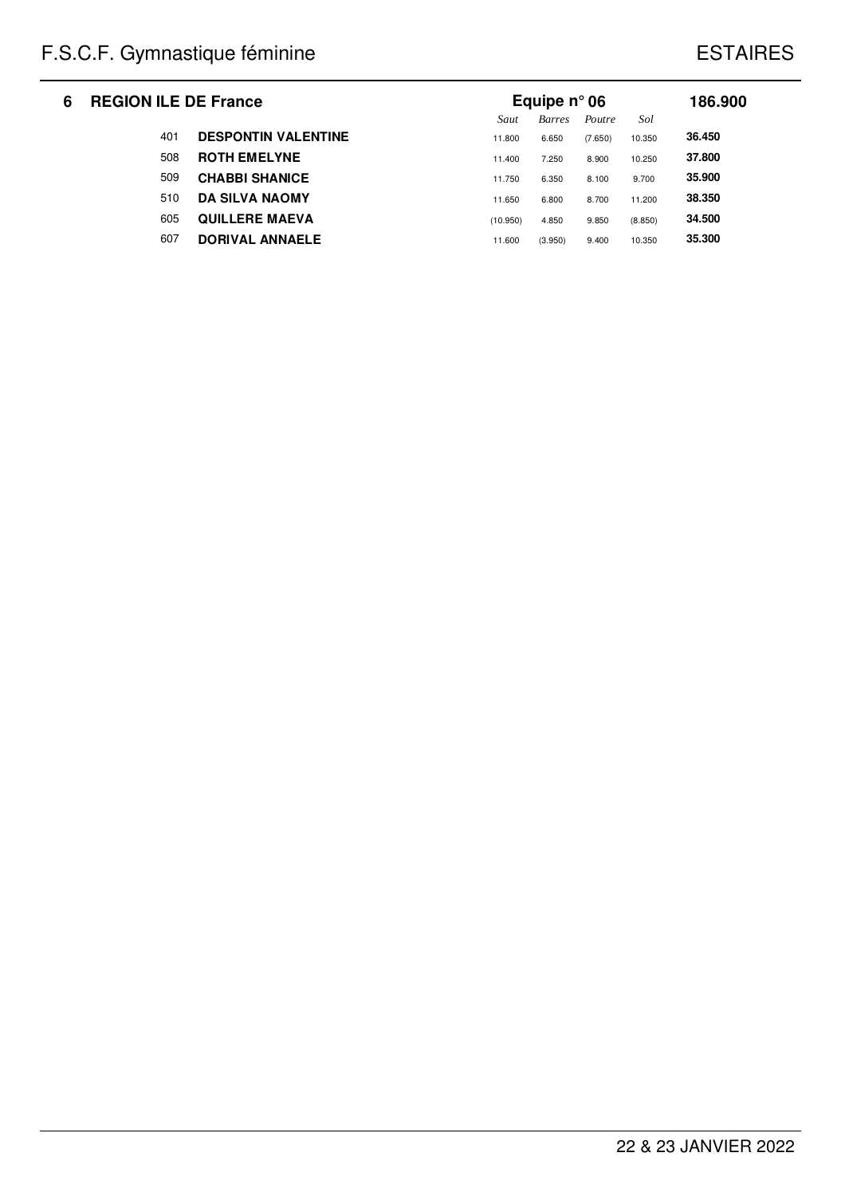| 6 | <b>REGION ILE DE France</b> |                            | Equipe $n^{\circ}$ 06 |               |         |         |        |  |
|---|-----------------------------|----------------------------|-----------------------|---------------|---------|---------|--------|--|
|   |                             |                            | Saut                  | <b>Barres</b> | Poutre  | Sol     |        |  |
|   | 401                         | <b>DESPONTIN VALENTINE</b> | 11.800                | 6.650         | (7.650) | 10.350  | 36.450 |  |
|   | 508                         | <b>ROTH EMELYNE</b>        | 11.400                | 7.250         | 8.900   | 10.250  | 37.800 |  |
|   | 509                         | <b>CHABBI SHANICE</b>      | 11.750                | 6.350         | 8.100   | 9.700   | 35.900 |  |
|   | 510                         | <b>DA SILVA NAOMY</b>      | 11.650                | 6.800         | 8.700   | 11.200  | 38.350 |  |
|   | 605                         | <b>QUILLERE MAEVA</b>      | (10.950)              | 4.850         | 9.850   | (8.850) | 34.500 |  |
|   | 607                         | <b>DORIVAL ANNAELE</b>     | 11.600                | (3.950)       | 9.400   | 10.350  | 35,300 |  |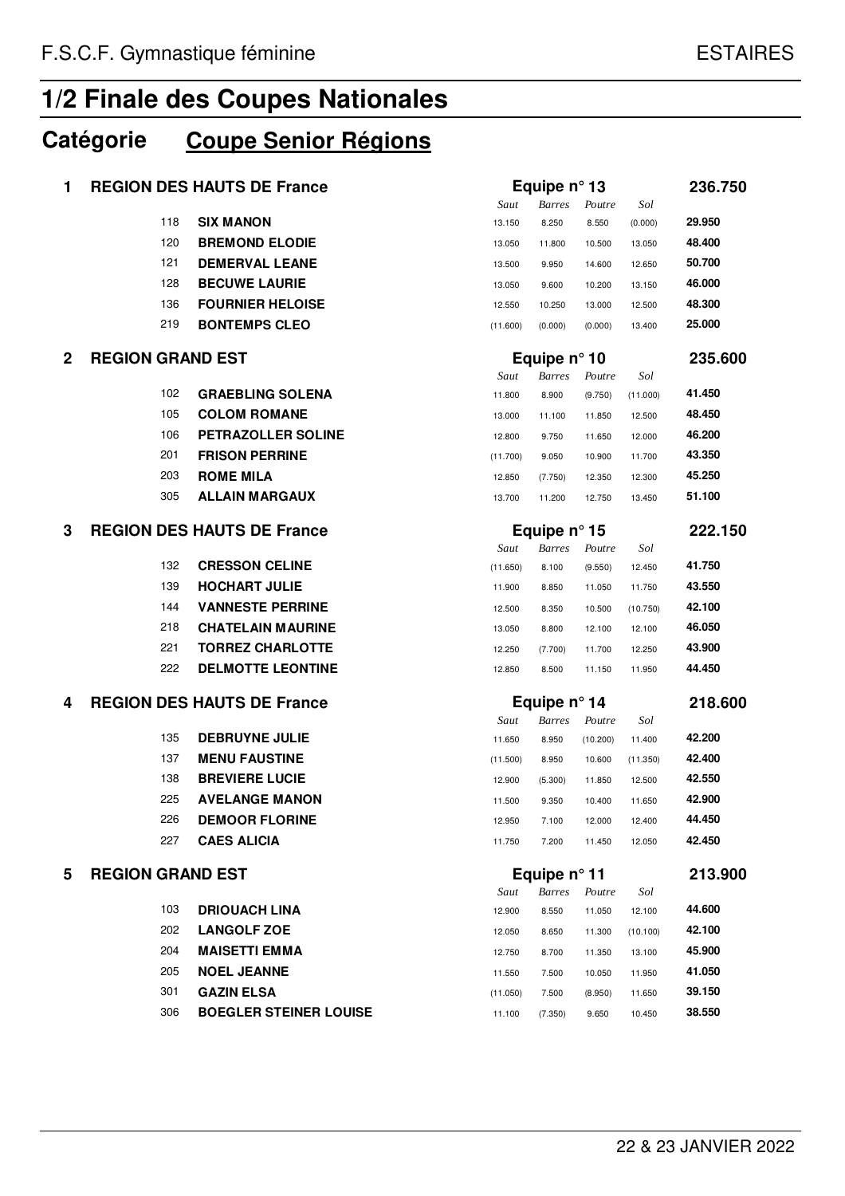## **Catégorie Coupe Senior Régions**

| 1            | <b>REGION DES HAUTS DE France</b> |                               |                       | Equipe n° 13          |          |          |         |
|--------------|-----------------------------------|-------------------------------|-----------------------|-----------------------|----------|----------|---------|
|              |                                   |                               | Saut                  | <b>Barres</b>         | Poutre   | Sol      |         |
|              | 118                               | <b>SIX MANON</b>              | 13.150                | 8.250                 | 8.550    | (0.000)  | 29.950  |
|              | 120                               | <b>BREMOND ELODIE</b>         | 13.050                | 11.800                | 10.500   | 13.050   | 48.400  |
|              | 121                               | <b>DEMERVAL LEANE</b>         | 13.500                | 9.950                 | 14.600   | 12.650   | 50.700  |
|              | 128                               | <b>BECUWE LAURIE</b>          | 13.050                | 9.600                 | 10.200   | 13.150   | 46.000  |
|              | 136                               | <b>FOURNIER HELOISE</b>       | 12.550                | 10.250                | 13.000   | 12.500   | 48.300  |
|              | 219                               | <b>BONTEMPS CLEO</b>          | (11.600)              | (0.000)               | (0.000)  | 13.400   | 25.000  |
| $\mathbf{2}$ | <b>REGION GRAND EST</b>           |                               | Equipe $n^{\circ}$ 10 |                       |          |          | 235.600 |
|              |                                   |                               | Saut                  | <b>Barres</b>         | Poutre   | Sol      |         |
|              | 102                               | <b>GRAEBLING SOLENA</b>       | 11.800                | 8.900                 | (9.750)  | (11.000) | 41.450  |
|              | 105                               | <b>COLOM ROMANE</b>           | 13.000                | 11.100                | 11.850   | 12.500   | 48.450  |
|              | 106                               | PETRAZOLLER SOLINE            | 12.800                | 9.750                 | 11.650   | 12.000   | 46.200  |
|              | 201                               | <b>FRISON PERRINE</b>         | (11.700)              | 9.050                 | 10.900   | 11.700   | 43.350  |
|              | 203                               | <b>ROME MILA</b>              | 12.850                | (7.750)               | 12.350   | 12.300   | 45.250  |
|              | 305                               | <b>ALLAIN MARGAUX</b>         | 13.700                | 11.200                | 12.750   | 13.450   | 51.100  |
| 3            | <b>REGION DES HAUTS DE France</b> |                               |                       | Equipe $n^{\circ}$ 15 |          |          | 222.150 |
|              |                                   |                               | Saut                  | <b>Barres</b>         | Poutre   | Sol      |         |
|              | 132                               | <b>CRESSON CELINE</b>         | (11.650)              | 8.100                 | (9.550)  | 12.450   | 41.750  |
|              | 139                               | <b>HOCHART JULIE</b>          | 11.900                | 8.850                 | 11.050   | 11.750   | 43.550  |
|              | 144                               | <b>VANNESTE PERRINE</b>       | 12.500                | 8.350                 | 10.500   | (10.750) | 42.100  |
|              | 218                               | <b>CHATELAIN MAURINE</b>      | 13.050                | 8.800                 | 12.100   | 12.100   | 46.050  |
|              | 221                               | <b>TORREZ CHARLOTTE</b>       | 12.250                | (7.700)               | 11.700   | 12.250   | 43.900  |
|              | 222                               | <b>DELMOTTE LEONTINE</b>      | 12.850                | 8.500                 | 11.150   | 11.950   | 44.450  |
| 4            | <b>REGION DES HAUTS DE France</b> |                               | Equipe $n^{\circ}$ 14 |                       |          | 218.600  |         |
|              |                                   |                               | Saut                  | <b>Barres</b>         | Poutre   | Sol      |         |
|              | 135                               | <b>DEBRUYNE JULIE</b>         | 11.650                | 8.950                 | (10.200) | 11.400   | 42.200  |
|              | 137                               | <b>MENU FAUSTINE</b>          | (11.500)              | 8.950                 | 10.600   | (11.350) | 42.400  |
|              | 138                               | <b>BREVIERE LUCIE</b>         | 12.900                | (5.300)               | 11.850   | 12.500   | 42.550  |
|              | 225                               | <b>AVELANGE MANON</b>         | 11.500                | 9.350                 | 10.400   | 11.650   | 42.900  |
|              | 226                               | <b>DEMOOR FLORINE</b>         | 12.950                | 7.100                 | 12.000   | 12.400   | 44.450  |
|              | 227                               | <b>CAES ALICIA</b>            | 11.750                | 7.200                 | 11.450   | 12.050   | 42.450  |
| 5            | <b>REGION GRAND EST</b>           |                               |                       | Equipe $n^{\circ}$ 11 |          |          |         |
|              |                                   |                               | Saut                  | <b>Barres</b>         | Poutre   | Sol      |         |
|              | 103                               | <b>DRIOUACH LINA</b>          | 12.900                | 8.550                 | 11.050   | 12.100   | 44.600  |
|              | 202                               | <b>LANGOLF ZOE</b>            | 12.050                | 8.650                 | 11.300   | (10.100) | 42.100  |
|              | 204                               | <b>MAISETTI EMMA</b>          | 12.750                | 8.700                 | 11.350   | 13.100   | 45.900  |
|              | 205                               | <b>NOEL JEANNE</b>            | 11.550                | 7.500                 | 10.050   | 11.950   | 41.050  |
|              | 301                               | <b>GAZIN ELSA</b>             | (11.050)              | 7.500                 | (8.950)  | 11.650   | 39.150  |
|              | 306                               | <b>BOEGLER STEINER LOUISE</b> | 11.100                | (7.350)               | 9.650    | 10.450   | 38.550  |